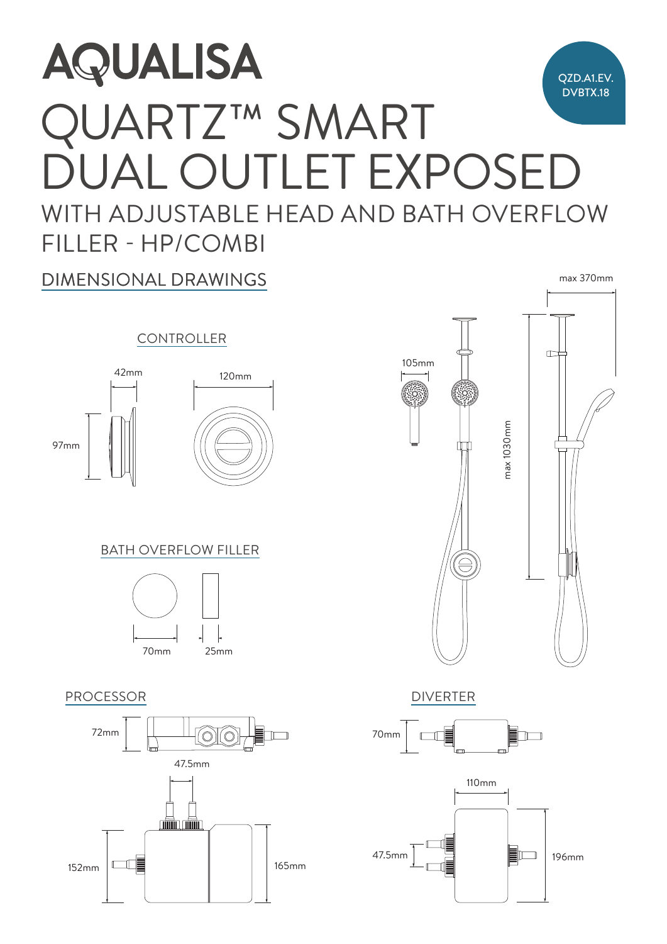# $\overline{\phantom{a}}$  $\overline{\phantom{a}}$ **AQUALISA** QZD.A1.EV. DVBTX.18 QUARTZ™ SMART JUAL OUTLET EXPOSEI WITH ADJUSTABLE HEAD AND BATH OVERFLOW FILLER - HP/COMBI 70mm

DIMENSIONAL DRAWINGS

### **CONTROLLER**





## **BATH OVERFLOW FILLER**



#### PROCESSOR DIVERTER